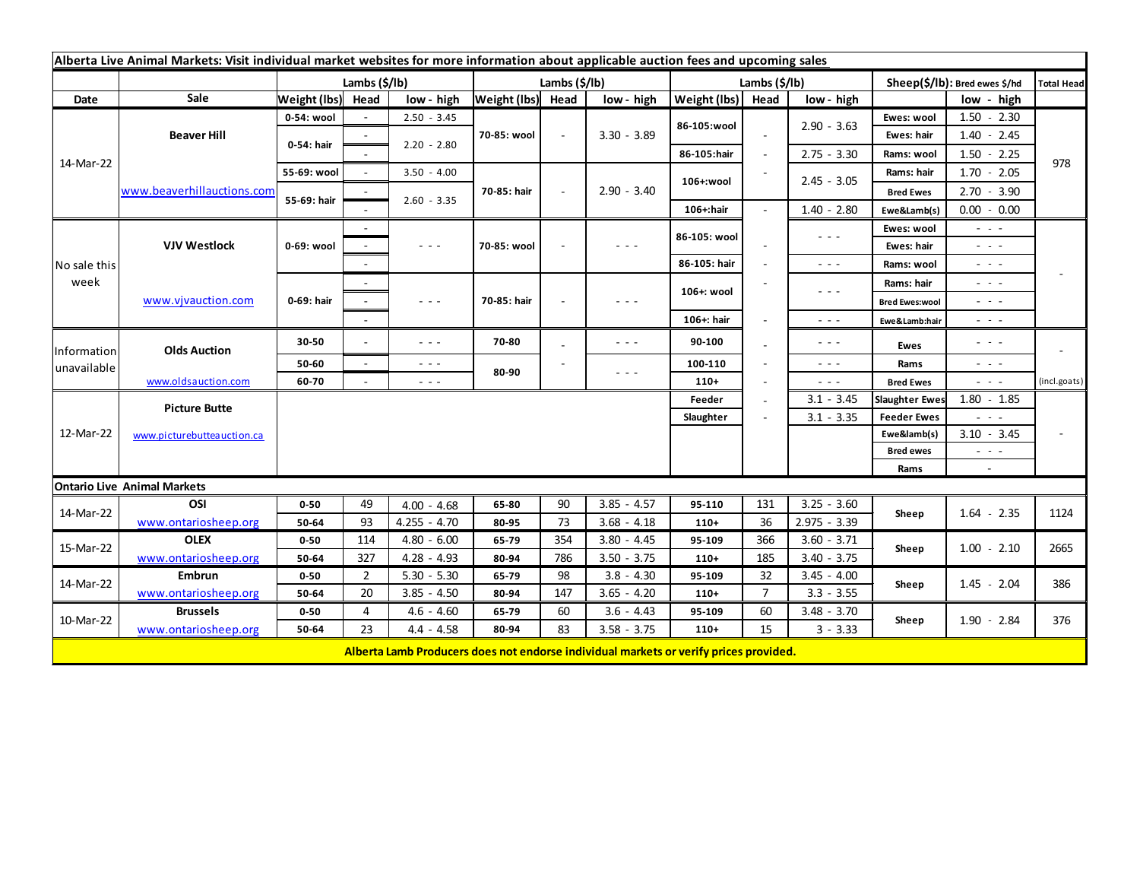| Alberta Live Animal Markets: Visit individual market websites for more information about applicable auction fees and upcoming sales |                            |               |                        |                                                                                       |                   |        |                                                                                                |               |                          |                                         |                          |                                                                                                                           |                   |
|-------------------------------------------------------------------------------------------------------------------------------------|----------------------------|---------------|------------------------|---------------------------------------------------------------------------------------|-------------------|--------|------------------------------------------------------------------------------------------------|---------------|--------------------------|-----------------------------------------|--------------------------|---------------------------------------------------------------------------------------------------------------------------|-------------------|
|                                                                                                                                     |                            | Lambs (\$/lb) |                        |                                                                                       | Lambs (\$/lb)     |        |                                                                                                | Lambs (\$/lb) |                          |                                         |                          | Sheep(\$/lb): Bred ewes \$/hd                                                                                             | <b>Total Head</b> |
| Date                                                                                                                                | Sale                       | Weight (lbs)  | Head                   | low - high                                                                            | Weight (lbs) Head |        | low - high                                                                                     | Weight (lbs)  | Head                     | low - high                              |                          | low - high                                                                                                                |                   |
| 14-Mar-22                                                                                                                           | <b>Beaver Hill</b>         | 0-54: wool    |                        | $2.50 - 3.45$                                                                         | 70-85: wool       | $\sim$ | $3.30 - 3.89$                                                                                  | 86-105:wool   |                          |                                         | Ewes: wool               | $1.50 - 2.30$                                                                                                             |                   |
|                                                                                                                                     |                            | 0-54: hair    |                        |                                                                                       |                   |        |                                                                                                |               |                          | $2.90 - 3.63$                           | Ewes: hair               | $1.40 - 2.45$                                                                                                             |                   |
|                                                                                                                                     |                            |               |                        | $2.20 - 2.80$                                                                         |                   |        |                                                                                                | 86-105:hair   | $\overline{\phantom{a}}$ | $2.75 - 3.30$                           | Rams: wool               | $1.50 - 2.25$                                                                                                             |                   |
|                                                                                                                                     | www.beaverhillauctions.com | 55-69: wool   |                        | $3.50 - 4.00$                                                                         | 70-85: hair       |        | $2.90 - 3.40$                                                                                  | 106+:wool     |                          | $2.45 - 3.05$                           | Rams: hair               | $1.70 - 2.05$                                                                                                             | 978               |
|                                                                                                                                     |                            | 55-69: hair   |                        | $2.60 - 3.35$                                                                         |                   |        |                                                                                                |               |                          |                                         | <b>Bred Ewes</b>         | $2.70 - 3.90$                                                                                                             |                   |
|                                                                                                                                     |                            |               |                        |                                                                                       |                   |        |                                                                                                | 106+:hair     |                          | $1.40 - 2.80$                           | Ewe&Lamb(s)              | $0.00 - 0.00$                                                                                                             |                   |
| No sale this<br>week                                                                                                                | <b>VJV Westlock</b>        | 0-69: wool    |                        |                                                                                       |                   |        | $  -$                                                                                          | 86-105: wool  |                          | $\sim$ $\sim$ $\sim$                    | Ewes: wool               | $\sim$ $\sim$ $\sim$                                                                                                      |                   |
|                                                                                                                                     |                            |               |                        | $\sim$ $\sim$ $\sim$                                                                  | 70-85: wool       |        |                                                                                                |               |                          |                                         | Ewes: hair               | - - -                                                                                                                     |                   |
|                                                                                                                                     |                            |               |                        |                                                                                       |                   |        |                                                                                                | 86-105: hair  |                          | $\sim$ $\sim$ $\sim$                    | Rams: wool               | $\sim$ 100 $\pm$                                                                                                          |                   |
|                                                                                                                                     | www.vjvauction.com         | 0-69: hair    |                        |                                                                                       | 70-85: hair       |        | $  -$                                                                                          | 106+: wool    |                          | $  -$                                   | Rams: hair               | $ -$                                                                                                                      |                   |
|                                                                                                                                     |                            |               |                        | $\sim$ $\sim$ $\sim$                                                                  |                   |        |                                                                                                |               |                          |                                         | <b>Bred Ewes:wool</b>    | - - -                                                                                                                     |                   |
|                                                                                                                                     |                            |               |                        |                                                                                       |                   |        |                                                                                                | 106+: hair    |                          | $\sim$ $\sim$ $\sim$                    | Ewe&Lamb:hair            | - - -                                                                                                                     |                   |
| Information<br>unavailable                                                                                                          | <b>Olds Auction</b>        | 30-50         |                        | $\sim$ $\sim$ $\sim$                                                                  | 70-80             |        | $\frac{1}{2} \left( \frac{1}{2} \right) \left( \frac{1}{2} \right) \left( \frac{1}{2} \right)$ | 90-100        |                          | $\sim$ $\sim$ $\sim$                    | <b>Ewes</b>              | - - -                                                                                                                     |                   |
|                                                                                                                                     |                            | 50-60         | $\sim$                 | $\sim$ $\sim$ $\sim$                                                                  | 80-90             |        |                                                                                                | 100-110       |                          | $\sim$ $\sim$ $\sim$                    | Rams<br><b>Bred Ewes</b> | $\frac{1}{2} \left( \frac{1}{2} \right) \left( \frac{1}{2} \right) \left( \frac{1}{2} \right) \left( \frac{1}{2} \right)$ |                   |
|                                                                                                                                     | www.oldsauction.com        | 60-70         |                        | $\sim$ $\sim$ $\sim$                                                                  |                   |        | $\sim$ $\sim$ $\sim$                                                                           | $110+$        |                          | $\omega_{\rm{c}}$ and $\omega_{\rm{c}}$ |                          | $\sim$ 100 $\pm$                                                                                                          | (incl.goats)      |
| 12-Mar-22                                                                                                                           | <b>Picture Butte</b>       |               | $3.1 - 3.45$<br>Feeder |                                                                                       |                   |        |                                                                                                |               |                          |                                         |                          | $1.80 - 1.85$                                                                                                             |                   |
|                                                                                                                                     |                            |               |                        |                                                                                       |                   |        | Slaughter                                                                                      |               | $3.1 - 3.35$             | <b>Feeder Ewes</b>                      | 2020                     |                                                                                                                           |                   |
|                                                                                                                                     | www.picturebutteauction.ca |               |                        |                                                                                       |                   |        |                                                                                                |               |                          |                                         | Ewe&lamb(s)              | $3.10 - 3.45$                                                                                                             |                   |
|                                                                                                                                     |                            |               |                        |                                                                                       |                   |        |                                                                                                |               |                          |                                         | <b>Bred ewes</b>         | $\frac{1}{2} \left( \frac{1}{2} \right) \left( \frac{1}{2} \right) \left( \frac{1}{2} \right) \left( \frac{1}{2} \right)$ |                   |
|                                                                                                                                     |                            |               |                        |                                                                                       |                   |        |                                                                                                |               |                          |                                         | Rams                     | $\sim$                                                                                                                    |                   |
| <b>Ontario Live Animal Markets</b>                                                                                                  |                            |               |                        |                                                                                       |                   |        |                                                                                                |               |                          |                                         |                          |                                                                                                                           |                   |
| 14-Mar-22                                                                                                                           | OSI                        | $0 - 50$      | 49                     | $4.00 - 4.68$                                                                         | 65-80             | 90     | $3.85 - 4.57$                                                                                  | 95-110        | 131                      | $3.25 - 3.60$                           | Sheep                    | $1.64 - 2.35$                                                                                                             | 1124              |
|                                                                                                                                     | www.ontariosheep.org       | 50-64         | 93                     | $4.255 - 4.70$                                                                        | 80-95             | 73     | $3.68 - 4.18$                                                                                  | $110+$        | 36                       | $2.975 - 3.39$                          |                          |                                                                                                                           |                   |
| 15-Mar-22                                                                                                                           | <b>OLEX</b>                | $0 - 50$      | 114                    | $4.80 - 6.00$                                                                         | 65-79             | 354    | $3.80 - 4.45$                                                                                  | 95-109        | 366                      | $3.60 - 3.71$                           | Sheep                    | $1.00 - 2.10$                                                                                                             | 2665              |
|                                                                                                                                     | www.ontariosheep.org       | 50-64         | 327                    | $4.28 - 4.93$                                                                         | 80-94             | 786    | $3.50 - 3.75$                                                                                  | $110+$        | 185                      | $3.40 - 3.75$                           |                          |                                                                                                                           |                   |
| 14-Mar-22<br>10-Mar-22                                                                                                              | <b>Embrun</b>              | $0 - 50$      | $\overline{2}$         | $5.30 - 5.30$                                                                         | 65-79             | 98     | $3.8 - 4.30$                                                                                   | 95-109        | 32                       | $3.45 - 4.00$                           | Sheep                    | $1.45 - 2.04$<br>$1.90 - 2.84$                                                                                            | 386<br>376        |
|                                                                                                                                     | www.ontariosheep.org       | 50-64         | 20                     | $3.85 - 4.50$                                                                         | 80-94             | 147    | $3.65 - 4.20$                                                                                  | $110+$        | $\overline{7}$           | $3.3 - 3.55$                            |                          |                                                                                                                           |                   |
|                                                                                                                                     | <b>Brussels</b>            | $0 - 50$      | 4                      | $4.6 - 4.60$                                                                          | 65-79             | 60     | $3.6 - 4.43$                                                                                   | 95-109        | 60                       | $3.48 - 3.70$                           | Sheep                    |                                                                                                                           |                   |
|                                                                                                                                     | www.ontariosheep.org       | 50-64         | 23                     | $4.4 - 4.58$                                                                          | 80-94             | 83     | $3.58 - 3.75$                                                                                  | $110+$        | 15                       | $3 - 3.33$                              |                          |                                                                                                                           |                   |
|                                                                                                                                     |                            |               |                        | Alberta Lamb Producers does not endorse individual markets or verify prices provided. |                   |        |                                                                                                |               |                          |                                         |                          |                                                                                                                           |                   |